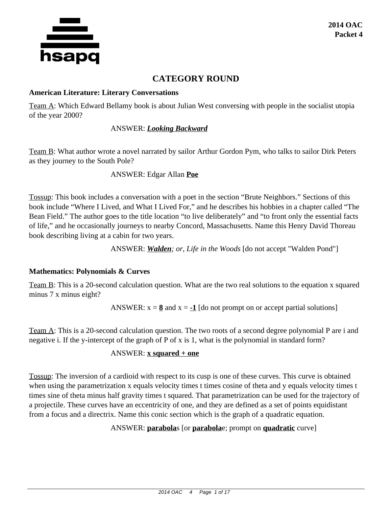

# **CATEGORY ROUND**

#### **American Literature: Literary Conversations**

Team A: Which Edward Bellamy book is about Julian West conversing with people in the socialist utopia of the year 2000?

## ANSWER: *Looking Backward*

Team B: What author wrote a novel narrated by sailor Arthur Gordon Pym, who talks to sailor Dirk Peters as they journey to the South Pole?

ANSWER: Edgar Allan **Poe**

Tossup: This book includes a conversation with a poet in the section "Brute Neighbors." Sections of this book include "Where I Lived, and What I Lived For," and he describes his hobbies in a chapter called "The Bean Field." The author goes to the title location "to live deliberately" and "to front only the essential facts of life," and he occasionally journeys to nearby Concord, Massachusetts. Name this Henry David Thoreau book describing living at a cabin for two years.

ANSWER: *Walden; or, Life in the Woods* [do not accept "Walden Pond"]

## **Mathematics: Polynomials & Curves**

Team B: This is a 20-second calculation question. What are the two real solutions to the equation x squared minus 7 x minus eight?

ANSWER:  $x = 8$  and  $x = -1$  [do not prompt on or accept partial solutions]

Team A: This is a 20-second calculation question. The two roots of a second degree polynomial P are i and negative i. If the y-intercept of the graph of P of x is 1, what is the polynomial in standard form?

## ANSWER: **x squared + one**

Tossup: The inversion of a cardioid with respect to its cusp is one of these curves. This curve is obtained when using the parametrization x equals velocity times t times cosine of theta and y equals velocity times t times sine of theta minus half gravity times t squared. That parametrization can be used for the trajectory of a projectile. These curves have an eccentricity of one, and they are defined as a set of points equidistant from a focus and a directrix. Name this conic section which is the graph of a quadratic equation.

ANSWER: **parabola**s [or **parabola**e; prompt on **quadratic** curve]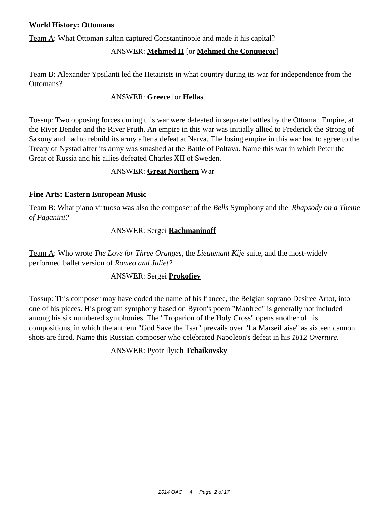### **World History: Ottomans**

Team A: What Ottoman sultan captured Constantinople and made it his capital?

## ANSWER: **Mehmed II** [or **Mehmed the Conqueror**]

Team B: Alexander Ypsilanti led the Hetairists in what country during its war for independence from the Ottomans?

## ANSWER: **Greece** [or **Hellas**]

Tossup: Two opposing forces during this war were defeated in separate battles by the Ottoman Empire, at the River Bender and the River Pruth. An empire in this war was initially allied to Frederick the Strong of Saxony and had to rebuild its army after a defeat at Narva. The losing empire in this war had to agree to the Treaty of Nystad after its army was smashed at the Battle of Poltava. Name this war in which Peter the Great of Russia and his allies defeated Charles XII of Sweden.

### ANSWER: **Great Northern** War

### **Fine Arts: Eastern European Music**

Team B: What piano virtuoso was also the composer of the *Bells* Symphony and the *Rhapsody on a Theme of Paganini?*

## ANSWER: Sergei **Rachmaninoff**

Team A: Who wrote *The Love for Three Oranges,* the *Lieutenant Kije* suite, and the most-widely performed ballet version of *Romeo and Juliet?*

### ANSWER: Sergei **Prokofiev**

Tossup: This composer may have coded the name of his fiancee, the Belgian soprano Desiree Artot, into one of his pieces. His program symphony based on Byron's poem "Manfred" is generally not included among his six numbered symphonies. The "Troparion of the Holy Cross" opens another of his compositions, in which the anthem "God Save the Tsar" prevails over "La Marseillaise" as sixteen cannon shots are fired. Name this Russian composer who celebrated Napoleon's defeat in his *1812 Overture.*

## ANSWER: Pyotr Ilyich **Tchaikovsky**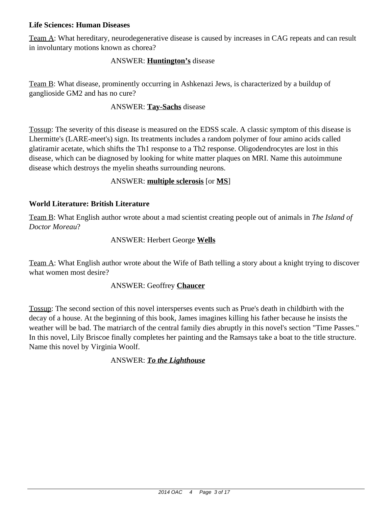### **Life Sciences: Human Diseases**

Team A: What hereditary, neurodegenerative disease is caused by increases in CAG repeats and can result in involuntary motions known as chorea?

### ANSWER: **Huntington's** disease

Team B: What disease, prominently occurring in Ashkenazi Jews, is characterized by a buildup of ganglioside GM2 and has no cure?

### ANSWER: **Tay-Sachs** disease

Tossup: The severity of this disease is measured on the EDSS scale. A classic symptom of this disease is Lhermitte's (LARE-meet's) sign. Its treatments includes a random polymer of four amino acids called glatiramir acetate, which shifts the Th1 response to a Th2 response. Oligodendrocytes are lost in this disease, which can be diagnosed by looking for white matter plaques on MRI. Name this autoimmune disease which destroys the myelin sheaths surrounding neurons.

## ANSWER: **multiple sclerosis** [or **MS**]

## **World Literature: British Literature**

Team B: What English author wrote about a mad scientist creating people out of animals in *The Island of Doctor Moreau*?

### ANSWER: Herbert George **Wells**

Team A: What English author wrote about the Wife of Bath telling a story about a knight trying to discover what women most desire?

### ANSWER: Geoffrey **Chaucer**

Tossup: The second section of this novel intersperses events such as Prue's death in childbirth with the decay of a house. At the beginning of this book, James imagines killing his father because he insists the weather will be bad. The matriarch of the central family dies abruptly in this novel's section "Time Passes." In this novel, Lily Briscoe finally completes her painting and the Ramsays take a boat to the title structure. Name this novel by Virginia Woolf.

### ANSWER: *To the Lighthouse*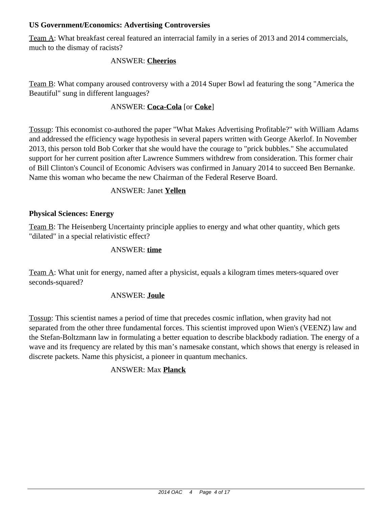## **US Government/Economics: Advertising Controversies**

Team A: What breakfast cereal featured an interracial family in a series of 2013 and 2014 commercials, much to the dismay of racists?

### ANSWER: **Cheerios**

Team B: What company aroused controversy with a 2014 Super Bowl ad featuring the song "America the Beautiful" sung in different languages?

## ANSWER: **Coca-Cola** [or **Coke**]

Tossup: This economist co-authored the paper "What Makes Advertising Profitable?" with William Adams and addressed the efficiency wage hypothesis in several papers written with George Akerlof. In November 2013, this person told Bob Corker that she would have the courage to "prick bubbles." She accumulated support for her current position after Lawrence Summers withdrew from consideration. This former chair of Bill Clinton's Council of Economic Advisers was confirmed in January 2014 to succeed Ben Bernanke. Name this woman who became the new Chairman of the Federal Reserve Board.

### ANSWER: Janet **Yellen**

## **Physical Sciences: Energy**

Team B: The Heisenberg Uncertainty principle applies to energy and what other quantity, which gets "dilated" in a special relativistic effect?

## ANSWER: **time**

Team A: What unit for energy, named after a physicist, equals a kilogram times meters-squared over seconds-squared?

### ANSWER: **Joule**

Tossup: This scientist names a period of time that precedes cosmic inflation, when gravity had not separated from the other three fundamental forces. This scientist improved upon Wien's (VEENZ) law and the Stefan-Boltzmann law in formulating a better equation to describe blackbody radiation. The energy of a wave and its frequency are related by this man's namesake constant, which shows that energy is released in discrete packets. Name this physicist, a pioneer in quantum mechanics.

## ANSWER: Max **Planck**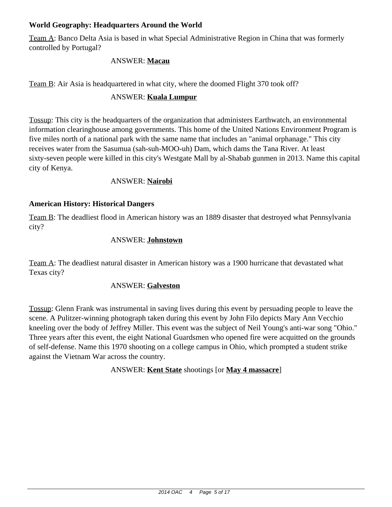## **World Geography: Headquarters Around the World**

Team A: Banco Delta Asia is based in what Special Administrative Region in China that was formerly controlled by Portugal?

### ANSWER: **Macau**

Team B: Air Asia is headquartered in what city, where the doomed Flight 370 took off?

## ANSWER: **Kuala Lumpur**

Tossup: This city is the headquarters of the organization that administers Earthwatch, an environmental information clearinghouse among governments. This home of the United Nations Environment Program is five miles north of a national park with the same name that includes an "animal orphanage." This city receives water from the Sasumua (sah-suh-MOO-uh) Dam, which dams the Tana River. At least sixty-seven people were killed in this city's Westgate Mall by al-Shabab gunmen in 2013. Name this capital city of Kenya.

### ANSWER: **Nairobi**

## **American History: Historical Dangers**

Team B: The deadliest flood in American history was an 1889 disaster that destroyed what Pennsylvania city?

### ANSWER: **Johnstown**

Team A: The deadliest natural disaster in American history was a 1900 hurricane that devastated what Texas city?

### ANSWER: **Galveston**

Tossup: Glenn Frank was instrumental in saving lives during this event by persuading people to leave the scene. A Pulitzer-winning photograph taken during this event by John Filo depicts Mary Ann Vecchio kneeling over the body of Jeffrey Miller. This event was the subject of Neil Young's anti-war song "Ohio." Three years after this event, the eight National Guardsmen who opened fire were acquitted on the grounds of self-defense. Name this 1970 shooting on a college campus in Ohio, which prompted a student strike against the Vietnam War across the country.

ANSWER: **Kent State** shootings [or **May 4 massacre**]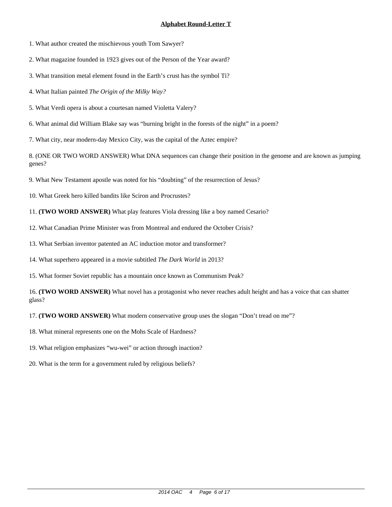1. What author created the mischievous youth Tom Sawyer?

2. What magazine founded in 1923 gives out of the Person of the Year award?

3. What transition metal element found in the Earth's crust has the symbol Ti?

4. What Italian painted *The Origin of the Milky Way?*

5. What Verdi opera is about a courtesan named Violetta Valery?

6. What animal did William Blake say was "burning bright in the forests of the night" in a poem?

7. What city, near modern-day Mexico City, was the capital of the Aztec empire?

8. (ONE OR TWO WORD ANSWER) What DNA sequences can change their position in the genome and are known as jumping genes?

9. What New Testament apostle was noted for his "doubting" of the resurrection of Jesus?

10. What Greek hero killed bandits like Sciron and Procrustes?

11. **(TWO WORD ANSWER)** What play features Viola dressing like a boy named Cesario?

12. What Canadian Prime Minister was from Montreal and endured the October Crisis?

13. What Serbian inventor patented an AC induction motor and transformer?

14. What superhero appeared in a movie subtitled *The Dark World* in 2013?

15. What former Soviet republic has a mountain once known as Communism Peak?

16. **(TWO WORD ANSWER)** What novel has a protagonist who never reaches adult height and has a voice that can shatter glass?

17. **(TWO WORD ANSWER)** What modern conservative group uses the slogan "Don't tread on me"?

18. What mineral represents one on the Mohs Scale of Hardness?

19. What religion emphasizes "wu-wei" or action through inaction?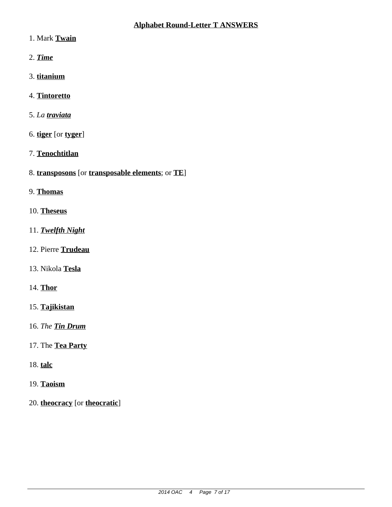- 1. Mark **Twain**
- 2. *Time*
- 3. **titanium**
- 4. **Tintoretto**
- 5. *La traviata*
- 6. **tiger** [or **tyger**]
- 7. **Tenochtitlan**
- 8. **transposons** [or **transposable elements**; or **TE**]
- 9. **Thomas**
- 10. **Theseus**
- 11. *Twelfth Night*
- 12. Pierre **Trudeau**
- 13. Nikola **Tesla**
- 14. **Thor**
- 15. **Tajikistan**
- 16. *The Tin Drum*
- 17. The **Tea Party**
- 18. **talc**
- 19. **Taoism**
- 20. **theocracy** [or **theocratic**]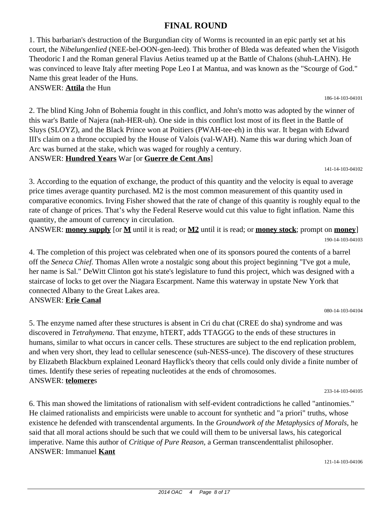# **FINAL ROUND**

1. This barbarian's destruction of the Burgundian city of Worms is recounted in an epic partly set at his court, the *Nibelungenlied* (NEE-bel-OON-gen-leed). This brother of Bleda was defeated when the Visigoth Theodoric I and the Roman general Flavius Aetius teamed up at the Battle of Chalons (shuh-LAHN). He was convinced to leave Italy after meeting Pope Leo I at Mantua, and was known as the "Scourge of God." Name this great leader of the Huns.

ANSWER: **Attila** the Hun

2. The blind King John of Bohemia fought in this conflict, and John's motto was adopted by the winner of this war's Battle of Najera (nah-HER-uh). One side in this conflict lost most of its fleet in the Battle of Sluys (SLOYZ), and the Black Prince won at Poitiers (PWAH-tee-eh) in this war. It began with Edward III's claim on a throne occupied by the House of Valois (val-WAH). Name this war during which Joan of Arc was burned at the stake, which was waged for roughly a century. ANSWER: **Hundred Years** War [or **Guerre de Cent Ans**]

141-14-103-04102

186-14-103-04101

3. According to the equation of exchange, the product of this quantity and the velocity is equal to average price times average quantity purchased. M2 is the most common measurement of this quantity used in comparative economics. Irving Fisher showed that the rate of change of this quantity is roughly equal to the rate of change of prices. That's why the Federal Reserve would cut this value to fight inflation. Name this quantity, the amount of currency in circulation.

ANSWER: **money supply** [or **M** until it is read; or **M2** until it is read; or **money stock**; prompt on **money**] 190-14-103-04103

4. The completion of this project was celebrated when one of its sponsors poured the contents of a barrel off the *Seneca Chief.* Thomas Allen wrote a nostalgic song about this project beginning "I've got a mule, her name is Sal." DeWitt Clinton got his state's legislature to fund this project, which was designed with a staircase of locks to get over the Niagara Escarpment. Name this waterway in upstate New York that connected Albany to the Great Lakes area.

### ANSWER: **Erie Canal**

080-14-103-04104

5. The enzyme named after these structures is absent in Cri du chat (CREE do sha) syndrome and was discovered in *Tetrahymena*. That enzyme, hTERT, adds TTAGGG to the ends of these structures in humans, similar to what occurs in cancer cells. These structures are subject to the end replication problem, and when very short, they lead to cellular senescence (suh-NESS-unce). The discovery of these structures by Elizabeth Blackburn explained Leonard Hayflick's theory that cells could only divide a finite number of times. Identify these series of repeating nucleotides at the ends of chromosomes. ANSWER: **telomere**s

233-14-103-04105

6. This man showed the limitations of rationalism with self-evident contradictions he called "antinomies." He claimed rationalists and empiricists were unable to account for synthetic and "a priori" truths, whose existence he defended with transcendental arguments. In the *Groundwork of the Metaphysics of Morals,* he said that all moral actions should be such that we could will them to be universal laws, his categorical imperative. Name this author of *Critique of Pure Reason,* a German transcendenttalist philosopher. ANSWER: Immanuel **Kant**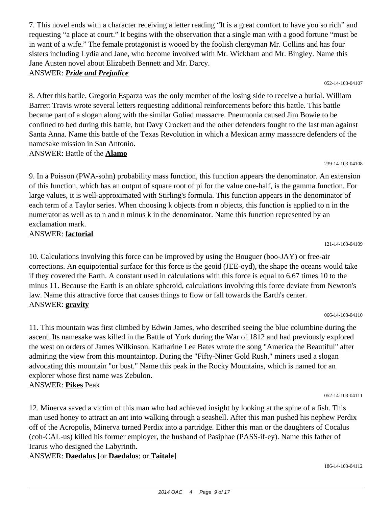7. This novel ends with a character receiving a letter reading "It is a great comfort to have you so rich" and requesting "a place at court." It begins with the observation that a single man with a good fortune "must be in want of a wife." The female protagonist is wooed by the foolish clergyman Mr. Collins and has four sisters including Lydia and Jane, who become involved with Mr. Wickham and Mr. Bingley. Name this Jane Austen novel about Elizabeth Bennett and Mr. Darcy.

ANSWER: *Pride and Prejudice*

8. After this battle, Gregorio Esparza was the only member of the losing side to receive a burial. William Barrett Travis wrote several letters requesting additional reinforcements before this battle. This battle became part of a slogan along with the similar Goliad massacre. Pneumonia caused Jim Bowie to be confined to bed during this battle, but Davy Crockett and the other defenders fought to the last man against Santa Anna. Name this battle of the Texas Revolution in which a Mexican army massacre defenders of the namesake mission in San Antonio.

ANSWER: Battle of the **Alamo**

9. In a Poisson (PWA-sohn) probability mass function, this function appears the denominator. An extension of this function, which has an output of square root of pi for the value one-half, is the gamma function. For large values, it is well-approximated with Stirling's formula. This function appears in the denominator of each term of a Taylor series. When choosing k objects from n objects, this function is applied to n in the numerator as well as to n and n minus k in the denominator. Name this function represented by an exclamation mark. ANSWER: **factorial**

121-14-103-04109

052-14-103-04107

239-14-103-04108

10. Calculations involving this force can be improved by using the Bouguer (boo-JAY) or free-air corrections. An equipotential surface for this force is the geoid (JEE-oyd), the shape the oceans would take if they covered the Earth. A constant used in calculations with this force is equal to 6.67 times 10 to the minus 11. Because the Earth is an oblate spheroid, calculations involving this force deviate from Newton's law. Name this attractive force that causes things to flow or fall towards the Earth's center. ANSWER: **gravity**

066-14-103-04110

11. This mountain was first climbed by Edwin James, who described seeing the blue columbine during the ascent. Its namesake was killed in the Battle of York during the War of 1812 and had previously explored the west on orders of James Wilkinson. Katharine Lee Bates wrote the song "America the Beautiful" after admiring the view from this mountaintop. During the "Fifty-Niner Gold Rush," miners used a slogan advocating this mountain "or bust." Name this peak in the Rocky Mountains, which is named for an explorer whose first name was Zebulon. ANSWER: **Pikes** Peak

052-14-103-04111

12. Minerva saved a victim of this man who had achieved insight by looking at the spine of a fish. This man used honey to attract an ant into walking through a seashell. After this man pushed his nephew Perdix off of the Acropolis, Minerva turned Perdix into a partridge. Either this man or the daughters of Cocalus (coh-CAL-us) killed his former employer, the husband of Pasiphae (PASS-if-ey). Name this father of Icarus who designed the Labyrinth.

ANSWER: **Daedalus** [or **Daedalos**; or **Taitale**]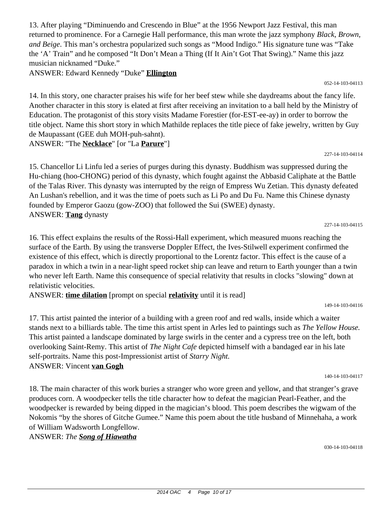13. After playing "Diminuendo and Crescendo in Blue" at the 1956 Newport Jazz Festival, this man returned to prominence. For a Carnegie Hall performance, this man wrote the jazz symphony *Black, Brown, and Beige*. This man's orchestra popularized such songs as "Mood Indigo." His signature tune was "Take the 'A' Train" and he composed "It Don't Mean a Thing (If It Ain't Got That Swing)." Name this jazz musician nicknamed "Duke."

ANSWER: Edward Kennedy "Duke" **Ellington**

14. In this story, one character praises his wife for her beef stew while she daydreams about the fancy life. Another character in this story is elated at first after receiving an invitation to a ball held by the Ministry of Education. The protagonist of this story visits Madame Forestier (for-EST-ee-ay) in order to borrow the title object. Name this short story in which Mathilde replaces the title piece of fake jewelry, written by Guy de Maupassant (GEE duh MOH-puh-sahnt).

ANSWER: "The **Necklace**" [or "La **Parure**"]

15. Chancellor Li Linfu led a series of purges during this dynasty. Buddhism was suppressed during the Hu-chiang (hoo-CHONG) period of this dynasty, which fought against the Abbasid Caliphate at the Battle of the Talas River. This dynasty was interrupted by the reign of Empress Wu Zetian. This dynasty defeated An Lushan's rebellion, and it was the time of poets such as Li Po and Du Fu. Name this Chinese dynasty founded by Emperor Gaozu (gow-ZOO) that followed the Sui (SWEE) dynasty. ANSWER: **Tang** dynasty

16. This effect explains the results of the Rossi-Hall experiment, which measured muons reaching the surface of the Earth. By using the transverse Doppler Effect, the Ives-Stilwell experiment confirmed the existence of this effect, which is directly proportional to the Lorentz factor. This effect is the cause of a paradox in which a twin in a near-light speed rocket ship can leave and return to Earth younger than a twin who never left Earth. Name this consequence of special relativity that results in clocks "slowing" down at relativistic velocities.

ANSWER: **time dilation** [prompt on special **relativity** until it is read]

17. This artist painted the interior of a building with a green roof and red walls, inside which a waiter stands next to a billiards table. The time this artist spent in Arles led to paintings such as *The Yellow House.* This artist painted a landscape dominated by large swirls in the center and a cypress tree on the left, both overlooking Saint-Remy. This artist of *The Night Cafe* depicted himself with a bandaged ear in his late self-portraits. Name this post-Impressionist artist of *Starry Night.* ANSWER: Vincent **van Gogh**

149-14-103-04116

18. The main character of this work buries a stranger who wore green and yellow, and that stranger's grave produces corn. A woodpecker tells the title character how to defeat the magician Pearl-Feather, and the woodpecker is rewarded by being dipped in the magician's blood. This poem describes the wigwam of the Nokomis "by the shores of Gitche Gumee." Name this poem about the title husband of Minnehaha, a work of William Wadsworth Longfellow.

ANSWER: *The Song of Hiawatha*

052-14-103-04113

227-14-103-04114

227-14-103-04115

140-14-103-04117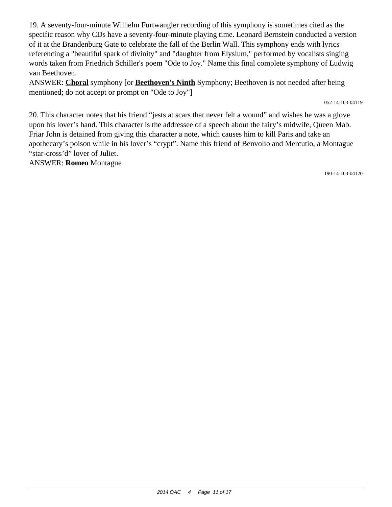19. A seventy-four-minute Wilhelm Furtwangler recording of this symphony is sometimes cited as the specific reason why CDs have a seventy-four-minute playing time. Leonard Bernstein conducted a version of it at the Brandenburg Gate to celebrate the fall of the Berlin Wall. This symphony ends with lyrics referencing a "beautiful spark of divinity" and "daughter from Elysium," performed by vocalists singing words taken from Friedrich Schiller's poem "Ode to Joy." Name this final complete symphony of Ludwig van Beethoven.

ANSWER: **Choral** symphony [or **Beethoven's Ninth** Symphony; Beethoven is not needed after being mentioned; do not accept or prompt on "Ode to Joy"]

052-14-103-04119

20. This character notes that his friend "jests at scars that never felt a wound" and wishes he was a glove upon his lover's hand. This character is the addressee of a speech about the fairy's midwife, Queen Mab. Friar John is detained from giving this character a note, which causes him to kill Paris and take an apothecary's poison while in his lover's "crypt". Name this friend of Benvolio and Mercutio, a Montague "star-cross'd" lover of Juliet.

ANSWER: **Romeo** Montague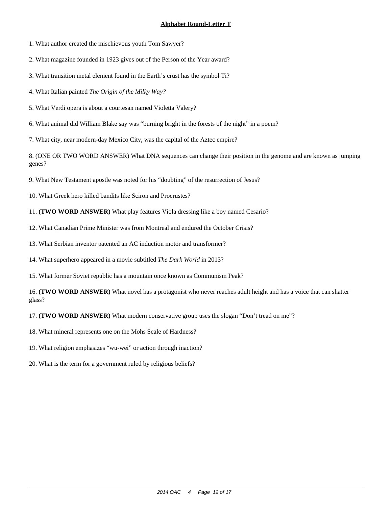1. What author created the mischievous youth Tom Sawyer?

2. What magazine founded in 1923 gives out of the Person of the Year award?

3. What transition metal element found in the Earth's crust has the symbol Ti?

4. What Italian painted *The Origin of the Milky Way?*

5. What Verdi opera is about a courtesan named Violetta Valery?

6. What animal did William Blake say was "burning bright in the forests of the night" in a poem?

7. What city, near modern-day Mexico City, was the capital of the Aztec empire?

8. (ONE OR TWO WORD ANSWER) What DNA sequences can change their position in the genome and are known as jumping genes?

9. What New Testament apostle was noted for his "doubting" of the resurrection of Jesus?

10. What Greek hero killed bandits like Sciron and Procrustes?

11. **(TWO WORD ANSWER)** What play features Viola dressing like a boy named Cesario?

12. What Canadian Prime Minister was from Montreal and endured the October Crisis?

13. What Serbian inventor patented an AC induction motor and transformer?

14. What superhero appeared in a movie subtitled *The Dark World* in 2013?

15. What former Soviet republic has a mountain once known as Communism Peak?

16. **(TWO WORD ANSWER)** What novel has a protagonist who never reaches adult height and has a voice that can shatter glass?

17. **(TWO WORD ANSWER)** What modern conservative group uses the slogan "Don't tread on me"?

18. What mineral represents one on the Mohs Scale of Hardness?

19. What religion emphasizes "wu-wei" or action through inaction?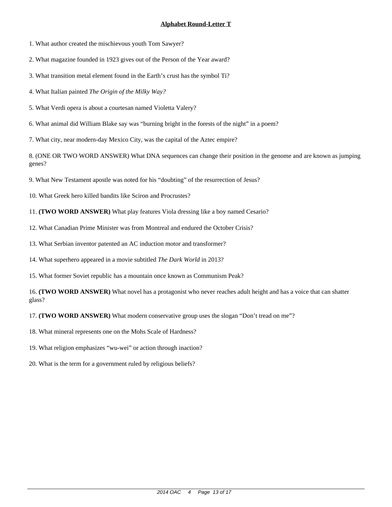1. What author created the mischievous youth Tom Sawyer?

2. What magazine founded in 1923 gives out of the Person of the Year award?

3. What transition metal element found in the Earth's crust has the symbol Ti?

4. What Italian painted *The Origin of the Milky Way?*

5. What Verdi opera is about a courtesan named Violetta Valery?

6. What animal did William Blake say was "burning bright in the forests of the night" in a poem?

7. What city, near modern-day Mexico City, was the capital of the Aztec empire?

8. (ONE OR TWO WORD ANSWER) What DNA sequences can change their position in the genome and are known as jumping genes?

9. What New Testament apostle was noted for his "doubting" of the resurrection of Jesus?

10. What Greek hero killed bandits like Sciron and Procrustes?

11. **(TWO WORD ANSWER)** What play features Viola dressing like a boy named Cesario?

12. What Canadian Prime Minister was from Montreal and endured the October Crisis?

13. What Serbian inventor patented an AC induction motor and transformer?

14. What superhero appeared in a movie subtitled *The Dark World* in 2013?

15. What former Soviet republic has a mountain once known as Communism Peak?

16. **(TWO WORD ANSWER)** What novel has a protagonist who never reaches adult height and has a voice that can shatter glass?

17. **(TWO WORD ANSWER)** What modern conservative group uses the slogan "Don't tread on me"?

18. What mineral represents one on the Mohs Scale of Hardness?

19. What religion emphasizes "wu-wei" or action through inaction?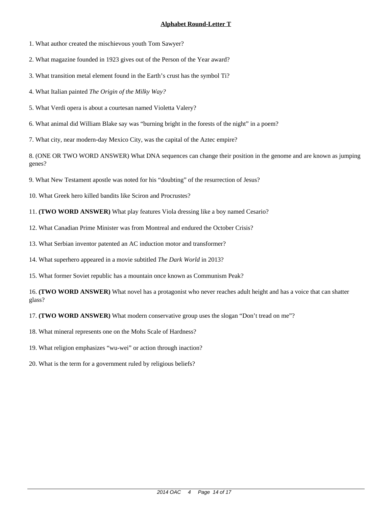1. What author created the mischievous youth Tom Sawyer?

2. What magazine founded in 1923 gives out of the Person of the Year award?

3. What transition metal element found in the Earth's crust has the symbol Ti?

4. What Italian painted *The Origin of the Milky Way?*

5. What Verdi opera is about a courtesan named Violetta Valery?

6. What animal did William Blake say was "burning bright in the forests of the night" in a poem?

7. What city, near modern-day Mexico City, was the capital of the Aztec empire?

8. (ONE OR TWO WORD ANSWER) What DNA sequences can change their position in the genome and are known as jumping genes?

9. What New Testament apostle was noted for his "doubting" of the resurrection of Jesus?

10. What Greek hero killed bandits like Sciron and Procrustes?

11. **(TWO WORD ANSWER)** What play features Viola dressing like a boy named Cesario?

12. What Canadian Prime Minister was from Montreal and endured the October Crisis?

13. What Serbian inventor patented an AC induction motor and transformer?

14. What superhero appeared in a movie subtitled *The Dark World* in 2013?

15. What former Soviet republic has a mountain once known as Communism Peak?

16. **(TWO WORD ANSWER)** What novel has a protagonist who never reaches adult height and has a voice that can shatter glass?

17. **(TWO WORD ANSWER)** What modern conservative group uses the slogan "Don't tread on me"?

18. What mineral represents one on the Mohs Scale of Hardness?

19. What religion emphasizes "wu-wei" or action through inaction?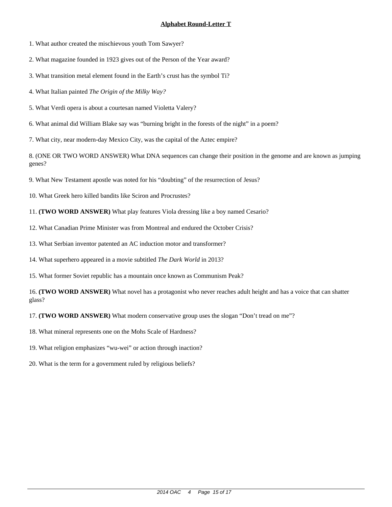1. What author created the mischievous youth Tom Sawyer?

2. What magazine founded in 1923 gives out of the Person of the Year award?

3. What transition metal element found in the Earth's crust has the symbol Ti?

4. What Italian painted *The Origin of the Milky Way?*

5. What Verdi opera is about a courtesan named Violetta Valery?

6. What animal did William Blake say was "burning bright in the forests of the night" in a poem?

7. What city, near modern-day Mexico City, was the capital of the Aztec empire?

8. (ONE OR TWO WORD ANSWER) What DNA sequences can change their position in the genome and are known as jumping genes?

9. What New Testament apostle was noted for his "doubting" of the resurrection of Jesus?

10. What Greek hero killed bandits like Sciron and Procrustes?

11. **(TWO WORD ANSWER)** What play features Viola dressing like a boy named Cesario?

12. What Canadian Prime Minister was from Montreal and endured the October Crisis?

13. What Serbian inventor patented an AC induction motor and transformer?

14. What superhero appeared in a movie subtitled *The Dark World* in 2013?

15. What former Soviet republic has a mountain once known as Communism Peak?

16. **(TWO WORD ANSWER)** What novel has a protagonist who never reaches adult height and has a voice that can shatter glass?

17. **(TWO WORD ANSWER)** What modern conservative group uses the slogan "Don't tread on me"?

18. What mineral represents one on the Mohs Scale of Hardness?

19. What religion emphasizes "wu-wei" or action through inaction?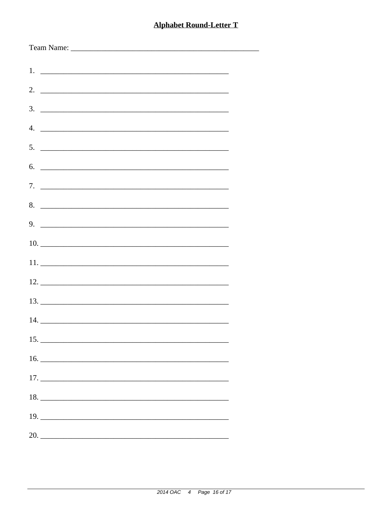| $5.$ $\overline{\phantom{a}}$ |
|-------------------------------|
| $6.$ $\overline{\phantom{a}}$ |
|                               |
|                               |
|                               |
|                               |
|                               |
|                               |
|                               |
|                               |
|                               |
|                               |
| $17. \_$                      |
| 18.                           |
|                               |
| 20.                           |